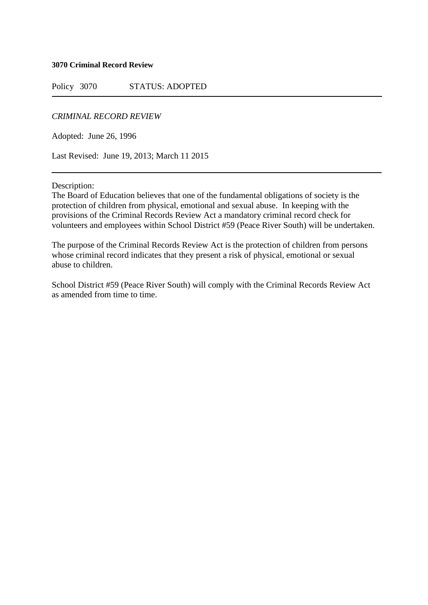#### **3070 Criminal Record Review**

Policy 3070 STATUS: ADOPTED

## *CRIMINAL RECORD REVIEW*

Adopted: June 26, 1996

Last Revised: June 19, 2013; March 11 2015

Description:

The Board of Education believes that one of the fundamental obligations of society is the protection of children from physical, emotional and sexual abuse. In keeping with the provisions of the Criminal Records Review Act a mandatory criminal record check for volunteers and employees within School District #59 (Peace River South) will be undertaken.

The purpose of the Criminal Records Review Act is the protection of children from persons whose criminal record indicates that they present a risk of physical, emotional or sexual abuse to children.

School District #59 (Peace River South) will comply with the Criminal Records Review Act as amended from time to time.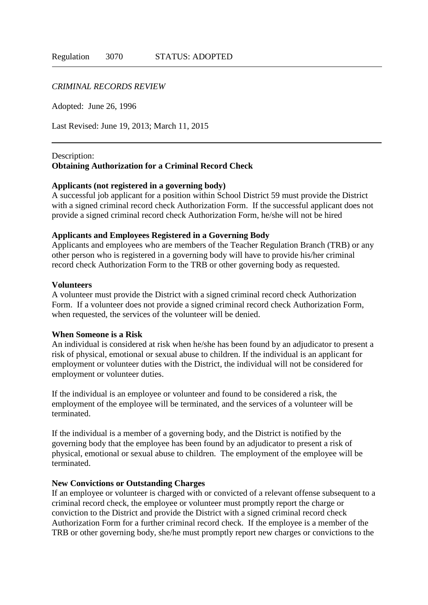## *CRIMINAL RECORDS REVIEW*

Adopted: June 26, 1996

Last Revised: June 19, 2013; March 11, 2015

## Description: **Obtaining Authorization for a Criminal Record Check**

#### **Applicants (not registered in a governing body)**

A successful job applicant for a position within School District 59 must provide the District with a signed criminal record check Authorization Form. If the successful applicant does not provide a signed criminal record check Authorization Form, he/she will not be hired

### **Applicants and Employees Registered in a Governing Body**

Applicants and employees who are members of the Teacher Regulation Branch (TRB) or any other person who is registered in a governing body will have to provide his/her criminal record check Authorization Form to the TRB or other governing body as requested.

#### **Volunteers**

A volunteer must provide the District with a signed criminal record check Authorization Form. If a volunteer does not provide a signed criminal record check Authorization Form, when requested, the services of the volunteer will be denied.

## **When Someone is a Risk**

An individual is considered at risk when he/she has been found by an adjudicator to present a risk of physical, emotional or sexual abuse to children. If the individual is an applicant for employment or volunteer duties with the District, the individual will not be considered for employment or volunteer duties.

If the individual is an employee or volunteer and found to be considered a risk, the employment of the employee will be terminated, and the services of a volunteer will be terminated.

If the individual is a member of a governing body, and the District is notified by the governing body that the employee has been found by an adjudicator to present a risk of physical, emotional or sexual abuse to children. The employment of the employee will be terminated.

## **New Convictions or Outstanding Charges**

If an employee or volunteer is charged with or convicted of a relevant offense subsequent to a criminal record check, the employee or volunteer must promptly report the charge or conviction to the District and provide the District with a signed criminal record check Authorization Form for a further criminal record check. If the employee is a member of the TRB or other governing body, she/he must promptly report new charges or convictions to the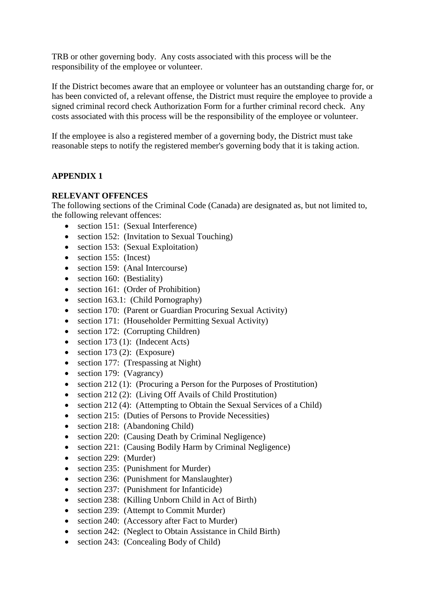TRB or other governing body. Any costs associated with this process will be the responsibility of the employee or volunteer.

If the District becomes aware that an employee or volunteer has an outstanding charge for, or has been convicted of, a relevant offense, the District must require the employee to provide a signed criminal record check Authorization Form for a further criminal record check. Any costs associated with this process will be the responsibility of the employee or volunteer.

If the employee is also a registered member of a governing body, the District must take reasonable steps to notify the registered member's governing body that it is taking action.

# **APPENDIX 1**

# **RELEVANT OFFENCES**

The following sections of the Criminal Code (Canada) are designated as, but not limited to, the following relevant offences:

- section 151: (Sexual Interference)
- section 152: (Invitation to Sexual Touching)
- section 153: (Sexual Exploitation)
- section 155: (Incest)
- section 159: (Anal Intercourse)
- section 160: (Bestiality)
- section 161: (Order of Prohibition)
- section 163.1: (Child Pornography)
- section 170: (Parent or Guardian Procuring Sexual Activity)
- section 171: (Householder Permitting Sexual Activity)
- section 172: (Corrupting Children)
- $\bullet$  section 173 (1): (Indecent Acts)
- $\bullet$  section 173 (2): (Exposure)
- section 177: (Trespassing at Night)
- section 179: (Vagrancy)
- section 212 (1): (Procuring a Person for the Purposes of Prostitution)
- section 212 (2): (Living Off Avails of Child Prostitution)
- section 212 (4): (Attempting to Obtain the Sexual Services of a Child)
- section 215: (Duties of Persons to Provide Necessities)
- section 218: (Abandoning Child)
- section 220: (Causing Death by Criminal Negligence)
- section 221: (Causing Bodily Harm by Criminal Negligence)
- section 229: (Murder)
- section 235: (Punishment for Murder)
- section 236: (Punishment for Manslaughter)
- section 237: (Punishment for Infanticide)
- section 238: (Killing Unborn Child in Act of Birth)
- section 239: (Attempt to Commit Murder)
- section 240: (Accessory after Fact to Murder)
- section 242: (Neglect to Obtain Assistance in Child Birth)
- section 243: (Concealing Body of Child)